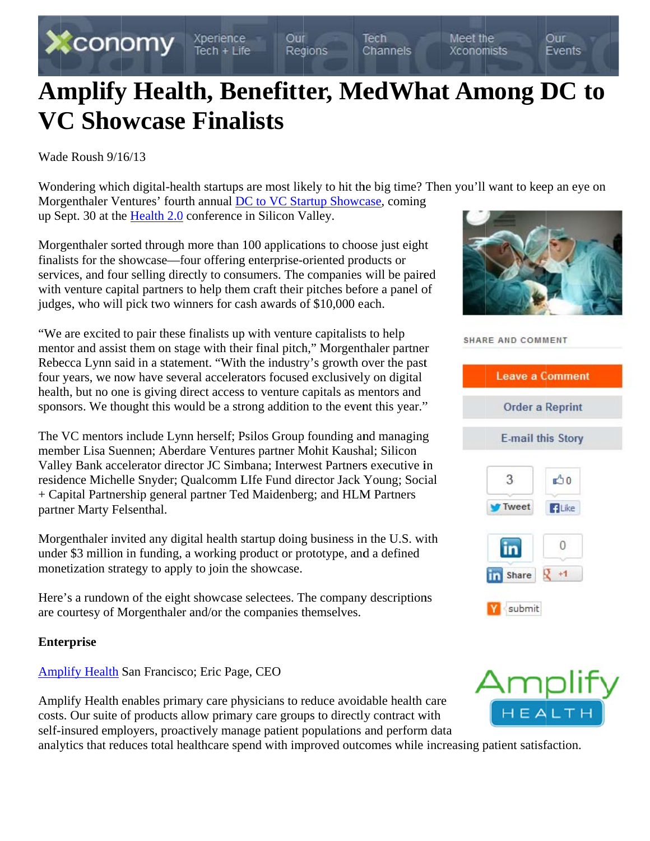

# Wade Roush  $9/16/13$

Wondering which digital-health startups are most likely to hit the big time? Then you'll want to keep an eye on Morgenthaler Ventures' fourth annual DC to VC Startup Showcase, coming up Sept. 30 at the Health 2.0 conference in Silicon Valley.

Morgenthaler sorted through more than 100 applications to choose just eight finalists for the showcase—four offering enterprise-oriented products or services, and four selling directly to consumers. The companies will be paired with venture capital partners to help them craft their pitches before a panel of judges, who will pick two winners for cash awards of \$10,000 each.

"We are excited to pair these finalists up with venture capitalists to help mentor and assist them on stage with their final pitch," Morgenthaler partner Rebecca Lynn said in a statement. "With the industry's growth over the past four years, we now have several accelerators focused exclusively on digital health, but no one is giving direct access to venture capitals as mentors and sponsors. We thought this would be a strong addition to the event this year."

The VC mentors include Lynn herself; Psilos Group founding and managing member Lisa Suennen; Aberdare Ventures partner Mohit Kaushal; Silicon Valley Bank accelerator director JC Simbana; Interwest Partners executive in residence Michelle Snyder; Qualcomm LIfe Fund director Jack Young; Social + Capital Partnership general partner Ted Maidenberg; and HLM Partners partner Marty Felsenthal.

Morgenthaler invited any digital health startup doing business in the U.S. with under \$3 million in funding, a working product or prototype, and a defined monetization strategy to apply to join the showcase.

Here's a rundown of the eight showcase selectees. The company descriptions are courtesy of Morgenthaler and/or the companies themselves.

### **Enterprise**

Amplify Health San Francisco; Eric Page, CEO

Amplify Health enables primary care physicians to reduce avoidable health care costs. Our suite of products allow primary care groups to directly contract with self-insured employers, proactively manage patient populations and perform data

analytics that reduces total healthcare spend with improved outcomes while increasing patient satisfaction.



| SHARE AND COMMENT         |                          |  |
|---------------------------|--------------------------|--|
|                           | <b>Leave a Comment</b>   |  |
|                           | <b>Order a Reprint</b>   |  |
|                           | <b>E-mail this Story</b> |  |
| 3                         | 0 <sup>2</sup>           |  |
| Tweet                     | <b>ElLike</b>            |  |
| <b>in</b>                 | 0                        |  |
| $\ln$ Share $\sqrt{2}$ +1 |                          |  |
| Y submit                  |                          |  |

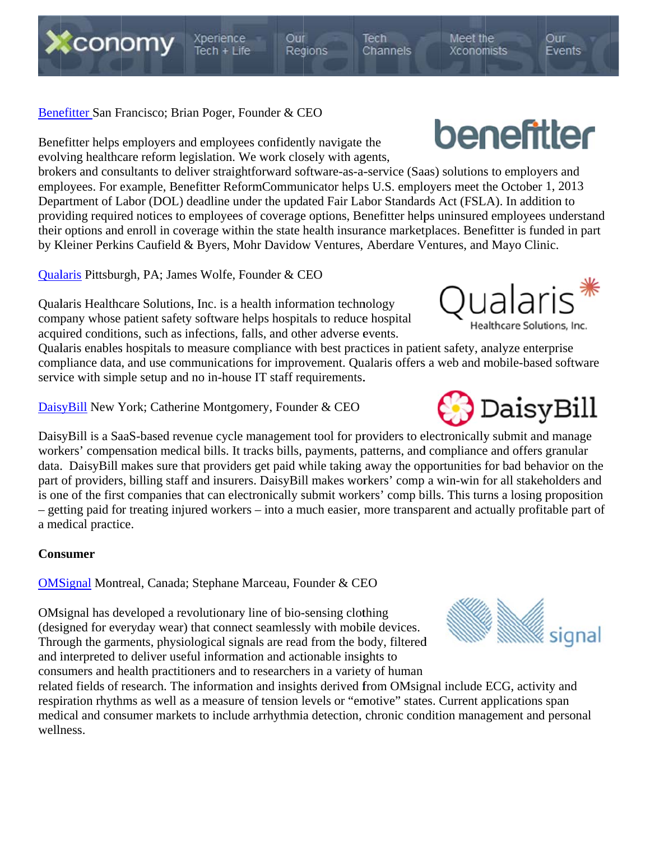# Benefitter San Francisco; Brian Poger, Founder & CEO

Benefitter helps employers and employees confidently navigate the evolving healthcare reform legislation. We work closely with agents,

brokers and consultants to deliver straightforward software-as-a-service (Saas) solutions to employers and employees. For example, Benefitter ReformCommunicator helps U.S. employers meet the October 1, 2013 Department of Labor (DOL) deadline under the updated Fair Labor Standards Act (FSLA). In addition to providing required notices to employees of coverage options, Benefitter helps uninsured employees understand their options and enroll in coverage within the state health insurance marketplaces. Benefitter is funded in part by Kleiner Perkins Caufield & Byers, Mohr Davidow Ventures, Aberdare Ventures, and Mayo Clinic.

Qualaris Pittsburgh, PA; James Wolfe, Founder & CEO

Qualaris Healthcare Solutions, Inc. is a health information technology company whose patient safety software helps hospitals to reduce hospital acquired conditions, such as infections, falls, and other adverse events.

Qualaris enables hospitals to measure compliance with best practices in patient safety, analyze enterprise compliance data, and use communications for improvement. Qualaris offers a web and mobile-based software service with simple setup and no in-house IT staff requirements.

DaisyBill New York; Catherine Montgomery, Founder & CEO

DaisyBill is a SaaS-based revenue cycle management tool for providers to electronically submit and manage workers' compensation medical bills. It tracks bills, payments, patterns, and compliance and offers granular data. DaisyBill makes sure that providers get paid while taking away the opportunities for bad behavior on the part of providers, billing staff and insurers. DaisyBill makes workers' comp a win-win for all stakeholders and is one of the first companies that can electronically submit workers' comp bills. This turns a losing proposition - getting paid for treating injured workers – into a much easier, more transparent and actually profitable part of a medical practice.

#### **Consumer**

**OMSignal** Montreal, Canada; Stephane Marceau, Founder & CEO

OMsignal has developed a revolutionary line of bio-sensing clothing (designed for everyday wear) that connect seamlessly with mobile devices. Through the garments, physiological signals are read from the body, filtered and interpreted to deliver useful information and actionable insights to consumers and health practitioners and to researchers in a variety of human

related fields of research. The information and insights derived from OMsignal include ECG, activity and respiration rhythms as well as a measure of tension levels or "emotive" states. Current applications span medical and consumer markets to include arrhythmia detection, chronic condition management and personal wellness.





Qualaris

Healthcare Solutions, Inc.



Our

Events



Our Regions Tech Channels

Meet the Xconomists